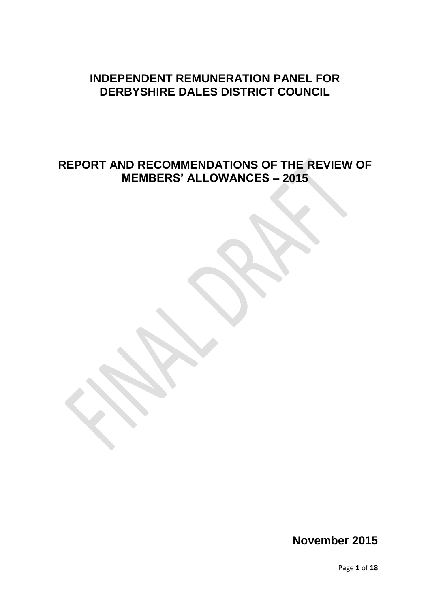# **INDEPENDENT REMUNERATION PANEL FOR DERBYSHIRE DALES DISTRICT COUNCIL**

# **REPORT AND RECOMMENDATIONS OF THE REVIEW OF MEMBERS' ALLOWANCES – 2015**

**November 2015**

Page **1** of **18**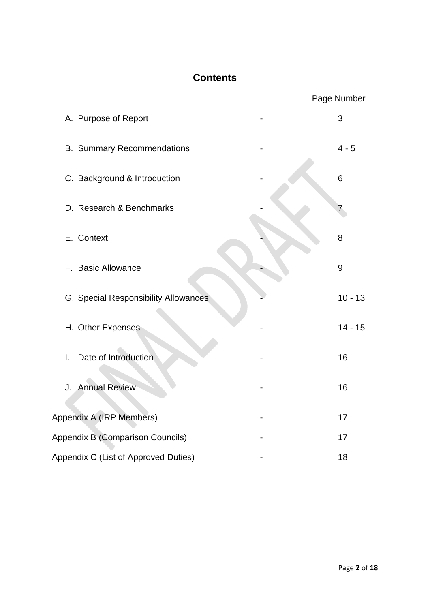# **Contents**

|                                      | Page Number |
|--------------------------------------|-------------|
| A. Purpose of Report                 | 3           |
| <b>B. Summary Recommendations</b>    | $4 - 5$     |
| C. Background & Introduction         | 6           |
| D. Research & Benchmarks             | 7           |
| E. Context                           | 8           |
| F. Basic Allowance                   | 9           |
| G. Special Responsibility Allowances | $10 - 13$   |
| H. Other Expenses                    | $14 - 15$   |
| Date of Introduction<br>I.           | 16          |
| J. Annual Review                     | 16          |
| Appendix A (IRP Members)             | 17          |
| Appendix B (Comparison Councils)     | 17          |
| Appendix C (List of Approved Duties) | 18          |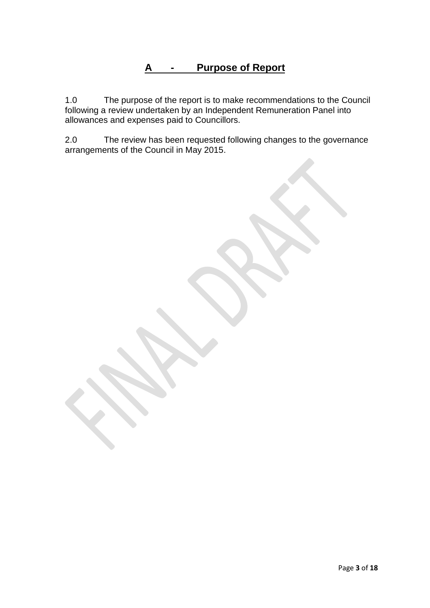# **A - Purpose of Report**

1.0 The purpose of the report is to make recommendations to the Council following a review undertaken by an Independent Remuneration Panel into allowances and expenses paid to Councillors.

2.0 The review has been requested following changes to the governance arrangements of the Council in May 2015.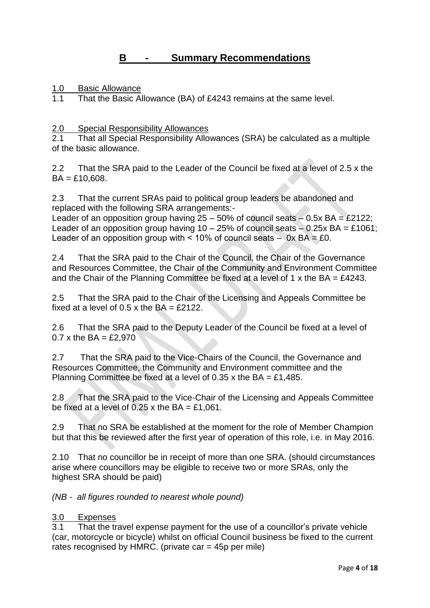## **B - Summary Recommendations**

1.0 Basic Allowance<br>1.1 That the Basic Al

That the Basic Allowance (BA) of £4243 remains at the same level.

2.0 Special Responsibility Allowances

2.1 That all Special Responsibility Allowances (SRA) be calculated as a multiple of the basic allowance.

2.2 That the SRA paid to the Leader of the Council be fixed at a level of 2.5 x the  $BA = £10,608.$ 

2.3 That the current SRAs paid to political group leaders be abandoned and replaced with the following SRA arrangements:-

Leader of an opposition group having  $25 - 50\%$  of council seats  $-0.5x$  BA = £2122; Leader of an opposition group having  $10 - 25\%$  of council seats  $-0.25x$  BA = £1061; Leader of an opposition group with  $\leq 10\%$  of council seats  $-$  0x BA = £0.

2.4 That the SRA paid to the Chair of the Council, the Chair of the Governance and Resources Committee, the Chair of the Community and Environment Committee and the Chair of the Planning Committee be fixed at a level of 1 x the  $BA = \text{\pounds}4243$ .

2.5 That the SRA paid to the Chair of the Licensing and Appeals Committee be fixed at a level of  $0.5$  x the BA = £2122.

2.6 That the SRA paid to the Deputy Leader of the Council be fixed at a level of 0.7 x the  $BA = £2.970$ 

2.7 That the SRA paid to the Vice-Chairs of the Council, the Governance and Resources Committee, the Community and Environment committee and the Planning Committee be fixed at a level of 0.35 x the BA = £1,485.

2.8 That the SRA paid to the Vice-Chair of the Licensing and Appeals Committee be fixed at a level of  $0.25$  x the BA = £1,061.

2.9 That no SRA be established at the moment for the role of Member Champion but that this be reviewed after the first year of operation of this role, i.e. in May 2016.

2.10 That no councillor be in receipt of more than one SRA. (should circumstances arise where councillors may be eligible to receive two or more SRAs, only the highest SRA should be paid)

*(NB - all figures rounded to nearest whole pound)*

### 3.0 Expenses

3.1 That the travel expense payment for the use of a councillor's private vehicle (car, motorcycle or bicycle) whilst on official Council business be fixed to the current rates recognised by HMRC. (private car  $=$  45p per mile)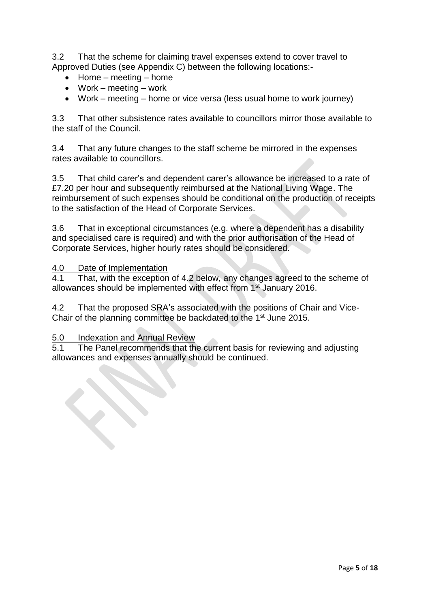3.2 That the scheme for claiming travel expenses extend to cover travel to Approved Duties (see Appendix C) between the following locations:-

- $\bullet$  Home meeting home
- Work meeting work
- Work meeting home or vice versa (less usual home to work journey)

3.3 That other subsistence rates available to councillors mirror those available to the staff of the Council.

3.4 That any future changes to the staff scheme be mirrored in the expenses rates available to councillors.

3.5 That child carer's and dependent carer's allowance be increased to a rate of £7.20 per hour and subsequently reimbursed at the National Living Wage. The reimbursement of such expenses should be conditional on the production of receipts to the satisfaction of the Head of Corporate Services.

3.6 That in exceptional circumstances (e.g. where a dependent has a disability and specialised care is required) and with the prior authorisation of the Head of Corporate Services, higher hourly rates should be considered.

### 4.0 Date of Implementation

4.1 That, with the exception of 4.2 below, any changes agreed to the scheme of allowances should be implemented with effect from 1st January 2016.

4.2 That the proposed SRA's associated with the positions of Chair and Vice-Chair of the planning committee be backdated to the 1<sup>st</sup> June 2015.

### 5.0 Indexation and Annual Review

5.1 The Panel recommends that the current basis for reviewing and adjusting allowances and expenses annually should be continued.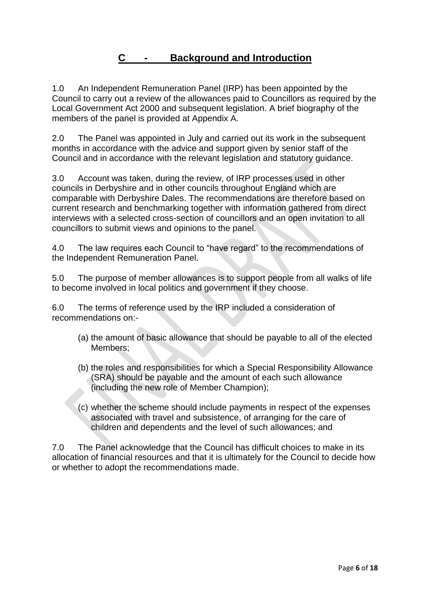## **C - Background and Introduction**

1.0 An Independent Remuneration Panel (IRP) has been appointed by the Council to carry out a review of the allowances paid to Councillors as required by the Local Government Act 2000 and subsequent legislation. A brief biography of the members of the panel is provided at Appendix A.

2.0 The Panel was appointed in July and carried out its work in the subsequent months in accordance with the advice and support given by senior staff of the Council and in accordance with the relevant legislation and statutory guidance.

3.0 Account was taken, during the review, of IRP processes used in other councils in Derbyshire and in other councils throughout England which are comparable with Derbyshire Dales. The recommendations are therefore based on current research and benchmarking together with information gathered from direct interviews with a selected cross-section of councillors and an open invitation to all councillors to submit views and opinions to the panel.

4.0 The law requires each Council to "have regard" to the recommendations of the Independent Remuneration Panel.

5.0 The purpose of member allowances is to support people from all walks of life to become involved in local politics and government if they choose.

6.0 The terms of reference used by the IRP included a consideration of recommendations on:-

- (a) the amount of basic allowance that should be payable to all of the elected Members;
- (b) the roles and responsibilities for which a Special Responsibility Allowance (SRA) should be payable and the amount of each such allowance (including the new role of Member Champion);
- (c) whether the scheme should include payments in respect of the expenses associated with travel and subsistence, of arranging for the care of children and dependents and the level of such allowances; and

7.0 The Panel acknowledge that the Council has difficult choices to make in its allocation of financial resources and that it is ultimately for the Council to decide how or whether to adopt the recommendations made.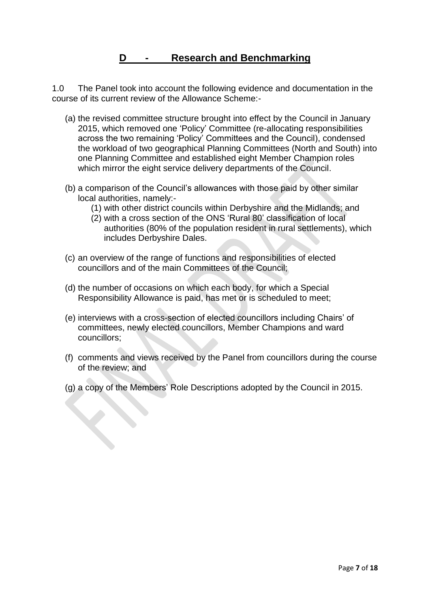## **D - Research and Benchmarking**

1.0 The Panel took into account the following evidence and documentation in the course of its current review of the Allowance Scheme:-

- (a) the revised committee structure brought into effect by the Council in January 2015, which removed one 'Policy' Committee (re-allocating responsibilities across the two remaining 'Policy' Committees and the Council), condensed the workload of two geographical Planning Committees (North and South) into one Planning Committee and established eight Member Champion roles which mirror the eight service delivery departments of the Council.
- (b) a comparison of the Council's allowances with those paid by other similar local authorities, namely:-
	- (1) with other district councils within Derbyshire and the Midlands; and
	- (2) with a cross section of the ONS 'Rural 80' classification of local authorities (80% of the population resident in rural settlements), which includes Derbyshire Dales.
- (c) an overview of the range of functions and responsibilities of elected councillors and of the main Committees of the Council;
- (d) the number of occasions on which each body, for which a Special Responsibility Allowance is paid, has met or is scheduled to meet;
- (e) interviews with a cross-section of elected councillors including Chairs' of committees, newly elected councillors, Member Champions and ward councillors;
- (f) comments and views received by the Panel from councillors during the course of the review; and
- (g) a copy of the Members' Role Descriptions adopted by the Council in 2015.

 $\left\langle \right\rangle$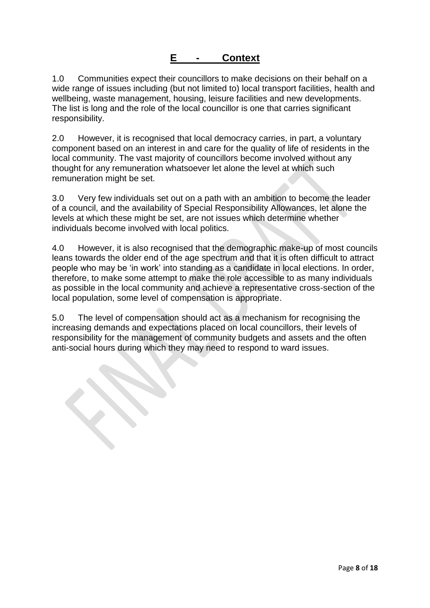## **E - Context**

1.0 Communities expect their councillors to make decisions on their behalf on a wide range of issues including (but not limited to) local transport facilities, health and wellbeing, waste management, housing, leisure facilities and new developments. The list is long and the role of the local councillor is one that carries significant responsibility.

2.0 However, it is recognised that local democracy carries, in part, a voluntary component based on an interest in and care for the quality of life of residents in the local community. The vast majority of councillors become involved without any thought for any remuneration whatsoever let alone the level at which such remuneration might be set.

3.0 Very few individuals set out on a path with an ambition to become the leader of a council, and the availability of Special Responsibility Allowances, let alone the levels at which these might be set, are not issues which determine whether individuals become involved with local politics.

4.0 However, it is also recognised that the demographic make-up of most councils leans towards the older end of the age spectrum and that it is often difficult to attract people who may be 'in work' into standing as a candidate in local elections. In order, therefore, to make some attempt to make the role accessible to as many individuals as possible in the local community and achieve a representative cross-section of the local population, some level of compensation is appropriate.

5.0 The level of compensation should act as a mechanism for recognising the increasing demands and expectations placed on local councillors, their levels of responsibility for the management of community budgets and assets and the often anti-social hours during which they may need to respond to ward issues.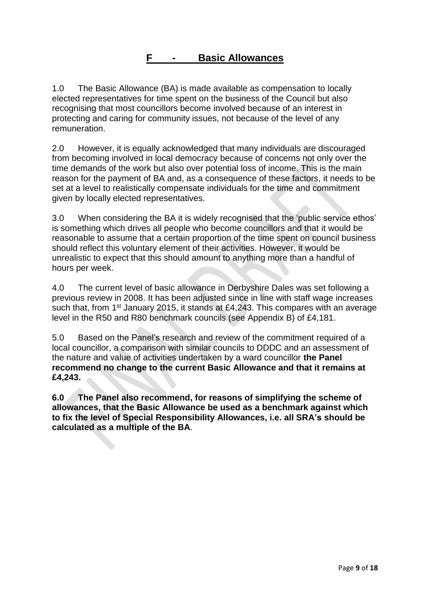1.0 The Basic Allowance (BA) is made available as compensation to locally elected representatives for time spent on the business of the Council but also recognising that most councillors become involved because of an interest in protecting and caring for community issues, not because of the level of any remuneration.

2.0 However, it is equally acknowledged that many individuals are discouraged from becoming involved in local democracy because of concerns not only over the time demands of the work but also over potential loss of income. This is the main reason for the payment of BA and, as a consequence of these factors, it needs to be set at a level to realistically compensate individuals for the time and commitment given by locally elected representatives.

3.0 When considering the BA it is widely recognised that the 'public service ethos' is something which drives all people who become councillors and that it would be reasonable to assume that a certain proportion of the time spent on council business should reflect this voluntary element of their activities. However, it would be unrealistic to expect that this should amount to anything more than a handful of hours per week.

4.0 The current level of basic allowance in Derbyshire Dales was set following a previous review in 2008. It has been adjusted since in line with staff wage increases such that, from  $1<sup>st</sup>$  January 2015, it stands at £4,243. This compares with an average level in the R50 and R80 benchmark councils (see Appendix B) of £4,181.

5.0 Based on the Panel's research and review of the commitment required of a local councillor, a comparison with similar councils to DDDC and an assessment of the nature and value of activities undertaken by a ward councillor **the Panel recommend no change to the current Basic Allowance and that it remains at £4,243.**

**6.0 The Panel also recommend, for reasons of simplifying the scheme of allowances, that the Basic Allowance be used as a benchmark against which to fix the level of Special Responsibility Allowances, i.e. all SRA's should be calculated as a multiple of the BA**.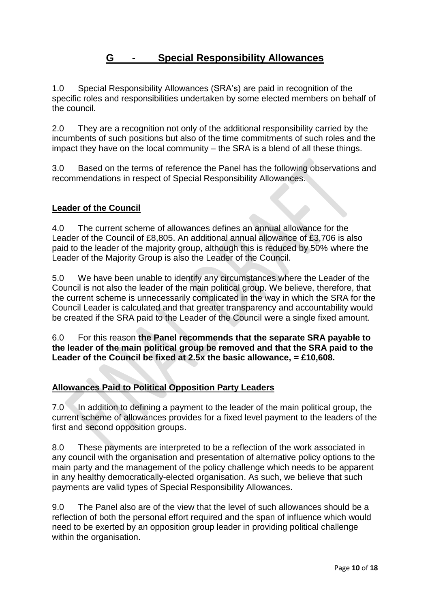## **G - Special Responsibility Allowances**

1.0 Special Responsibility Allowances (SRA's) are paid in recognition of the specific roles and responsibilities undertaken by some elected members on behalf of the council.

2.0 They are a recognition not only of the additional responsibility carried by the incumbents of such positions but also of the time commitments of such roles and the impact they have on the local community – the SRA is a blend of all these things.

3.0 Based on the terms of reference the Panel has the following observations and recommendations in respect of Special Responsibility Allowances.

### **Leader of the Council**

4.0 The current scheme of allowances defines an annual allowance for the Leader of the Council of £8,805. An additional annual allowance of £3,706 is also paid to the leader of the majority group, although this is reduced by 50% where the Leader of the Majority Group is also the Leader of the Council.

5.0 We have been unable to identify any circumstances where the Leader of the Council is not also the leader of the main political group. We believe, therefore, that the current scheme is unnecessarily complicated in the way in which the SRA for the Council Leader is calculated and that greater transparency and accountability would be created if the SRA paid to the Leader of the Council were a single fixed amount.

6.0 For this reason **the Panel recommends that the separate SRA payable to the leader of the main political group be removed and that the SRA paid to the Leader of the Council be fixed at 2.5x the basic allowance, = £10,608.**

### **Allowances Paid to Political Opposition Party Leaders**

7.0 In addition to defining a payment to the leader of the main political group, the current scheme of allowances provides for a fixed level payment to the leaders of the first and second opposition groups.

8.0 These payments are interpreted to be a reflection of the work associated in any council with the organisation and presentation of alternative policy options to the main party and the management of the policy challenge which needs to be apparent in any healthy democratically-elected organisation. As such, we believe that such payments are valid types of Special Responsibility Allowances.

9.0 The Panel also are of the view that the level of such allowances should be a reflection of both the personal effort required and the span of influence which would need to be exerted by an opposition group leader in providing political challenge within the organisation.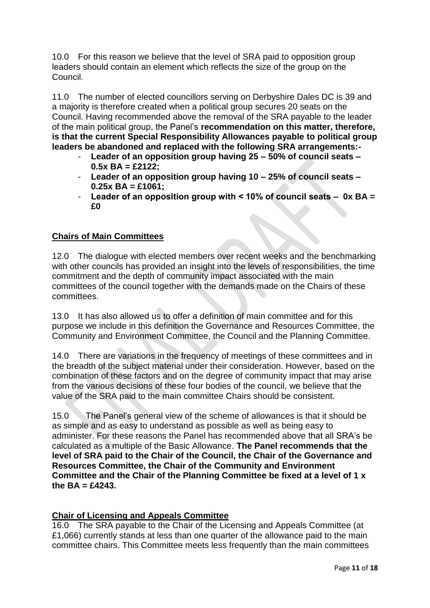10.0 For this reason we believe that the level of SRA paid to opposition group leaders should contain an element which reflects the size of the group on the Council.

11.0 The number of elected councillors serving on Derbyshire Dales DC is 39 and a majority is therefore created when a political group secures 20 seats on the Council. Having recommended above the removal of the SRA payable to the leader of the main political group, the Panel's **recommendation on this matter, therefore, is that the current Special Responsibility Allowances payable to political group leaders be abandoned and replaced with the following SRA arrangements:-**

- **Leader of an opposition group having 25 – 50% of council seats – 0.5x BA = £2122;**
- **Leader of an opposition group having 10 – 25% of council seats – 0.25x BA = £1061;**
- **Leader of an opposition group with ˂ 10% of council seats 0x BA = £0**

## **Chairs of Main Committees**

12.0 The dialogue with elected members over recent weeks and the benchmarking with other councils has provided an insight into the levels of responsibilities, the time commitment and the depth of community impact associated with the main committees of the council together with the demands made on the Chairs of these committees.

13.0 It has also allowed us to offer a definition of main committee and for this purpose we include in this definition the Governance and Resources Committee, the Community and Environment Committee, the Council and the Planning Committee.

14.0 There are variations in the frequency of meetings of these committees and in the breadth of the subject material under their consideration. However, based on the combination of these factors and on the degree of community impact that may arise from the various decisions of these four bodies of the council, we believe that the value of the SRA paid to the main committee Chairs should be consistent.

15.0 The Panel's general view of the scheme of allowances is that it should be as simple and as easy to understand as possible as well as being easy to administer. For these reasons the Panel has recommended above that all SRA's be calculated as a multiple of the Basic Allowance. **The Panel recommends that the level of SRA paid to the Chair of the Council, the Chair of the Governance and Resources Committee, the Chair of the Community and Environment Committee and the Chair of the Planning Committee be fixed at a level of 1 x the BA = £4243.**

### **Chair of Licensing and Appeals Committee**

16.0 The SRA payable to the Chair of the Licensing and Appeals Committee (at £1,066) currently stands at less than one quarter of the allowance paid to the main committee chairs. This Committee meets less frequently than the main committees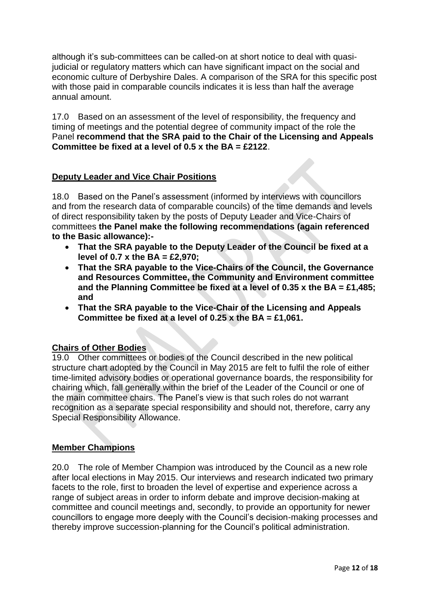although it's sub-committees can be called-on at short notice to deal with quasijudicial or regulatory matters which can have significant impact on the social and economic culture of Derbyshire Dales. A comparison of the SRA for this specific post with those paid in comparable councils indicates it is less than half the average annual amount.

17.0 Based on an assessment of the level of responsibility, the frequency and timing of meetings and the potential degree of community impact of the role the Panel **recommend that the SRA paid to the Chair of the Licensing and Appeals Committee be fixed at a level of 0.5 x the BA = £2122**.

### **Deputy Leader and Vice Chair Positions**

18.0 Based on the Panel's assessment (informed by interviews with councillors and from the research data of comparable councils) of the time demands and levels of direct responsibility taken by the posts of Deputy Leader and Vice-Chairs of committees **the Panel make the following recommendations (again referenced to the Basic allowance):-**

- **That the SRA payable to the Deputy Leader of the Council be fixed at a level of 0.7 x the BA = £2,970;**
- **That the SRA payable to the Vice-Chairs of the Council, the Governance and Resources Committee, the Community and Environment committee and the Planning Committee be fixed at a level of 0.35 x the BA = £1,485; and**
- **That the SRA payable to the Vice-Chair of the Licensing and Appeals Committee be fixed at a level of 0.25 x the BA = £1,061.**

### **Chairs of Other Bodies**

19.0 Other committees or bodies of the Council described in the new political structure chart adopted by the Council in May 2015 are felt to fulfil the role of either time-limited advisory bodies or operational governance boards, the responsibility for chairing which, fall generally within the brief of the Leader of the Council or one of the main committee chairs. The Panel's view is that such roles do not warrant recognition as a separate special responsibility and should not, therefore, carry any Special Responsibility Allowance.

### **Member Champions**

20.0 The role of Member Champion was introduced by the Council as a new role after local elections in May 2015. Our interviews and research indicated two primary facets to the role, first to broaden the level of expertise and experience across a range of subject areas in order to inform debate and improve decision-making at committee and council meetings and, secondly, to provide an opportunity for newer councillors to engage more deeply with the Council's decision-making processes and thereby improve succession-planning for the Council's political administration.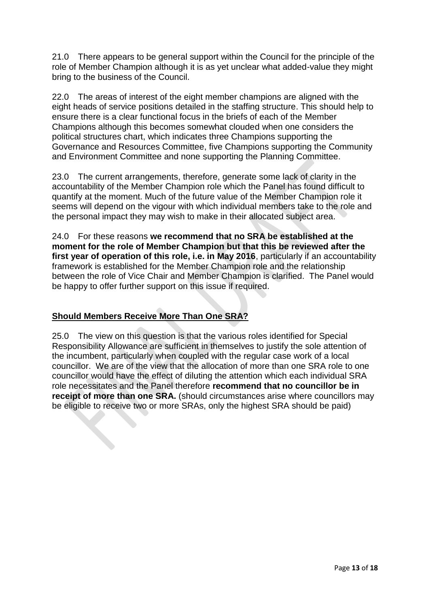21.0 There appears to be general support within the Council for the principle of the role of Member Champion although it is as yet unclear what added-value they might bring to the business of the Council.

22.0 The areas of interest of the eight member champions are aligned with the eight heads of service positions detailed in the staffing structure. This should help to ensure there is a clear functional focus in the briefs of each of the Member Champions although this becomes somewhat clouded when one considers the political structures chart, which indicates three Champions supporting the Governance and Resources Committee, five Champions supporting the Community and Environment Committee and none supporting the Planning Committee.

23.0 The current arrangements, therefore, generate some lack of clarity in the accountability of the Member Champion role which the Panel has found difficult to quantify at the moment. Much of the future value of the Member Champion role it seems will depend on the vigour with which individual members take to the role and the personal impact they may wish to make in their allocated subject area.

24.0 For these reasons **we recommend that no SRA be established at the moment for the role of Member Champion but that this be reviewed after the first year of operation of this role, i.e. in May 2016**, particularly if an accountability framework is established for the Member Champion role and the relationship between the role of Vice Chair and Member Champion is clarified. The Panel would be happy to offer further support on this issue if required.

## **Should Members Receive More Than One SRA?**

25.0 The view on this question is that the various roles identified for Special Responsibility Allowance are sufficient in themselves to justify the sole attention of the incumbent, particularly when coupled with the regular case work of a local councillor. We are of the view that the allocation of more than one SRA role to one councillor would have the effect of diluting the attention which each individual SRA role necessitates and the Panel therefore **recommend that no councillor be in receipt of more than one SRA.** (should circumstances arise where councillors may be eligible to receive two or more SRAs, only the highest SRA should be paid)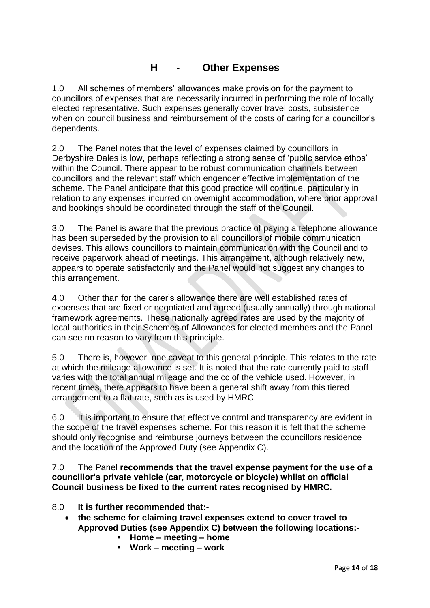# **H - Other Expenses**

1.0 All schemes of members' allowances make provision for the payment to councillors of expenses that are necessarily incurred in performing the role of locally elected representative. Such expenses generally cover travel costs, subsistence when on council business and reimbursement of the costs of caring for a councillor's dependents.

2.0 The Panel notes that the level of expenses claimed by councillors in Derbyshire Dales is low, perhaps reflecting a strong sense of 'public service ethos' within the Council. There appear to be robust communication channels between councillors and the relevant staff which engender effective implementation of the scheme. The Panel anticipate that this good practice will continue, particularly in relation to any expenses incurred on overnight accommodation, where prior approval and bookings should be coordinated through the staff of the Council.

3.0 The Panel is aware that the previous practice of paying a telephone allowance has been superseded by the provision to all councillors of mobile communication devises. This allows councillors to maintain communication with the Council and to receive paperwork ahead of meetings. This arrangement, although relatively new, appears to operate satisfactorily and the Panel would not suggest any changes to this arrangement.

4.0 Other than for the carer's allowance there are well established rates of expenses that are fixed or negotiated and agreed (usually annually) through national framework agreements. These nationally agreed rates are used by the majority of local authorities in their Schemes of Allowances for elected members and the Panel can see no reason to vary from this principle.

5.0 There is, however, one caveat to this general principle. This relates to the rate at which the mileage allowance is set. It is noted that the rate currently paid to staff varies with the total annual mileage and the cc of the vehicle used. However, in recent times, there appears to have been a general shift away from this tiered arrangement to a flat rate, such as is used by HMRC.

6.0 It is important to ensure that effective control and transparency are evident in the scope of the travel expenses scheme. For this reason it is felt that the scheme should only recognise and reimburse journeys between the councillors residence and the location of the Approved Duty (see Appendix C).

7.0 The Panel **recommends that the travel expense payment for the use of a councillor's private vehicle (car, motorcycle or bicycle) whilst on official Council business be fixed to the current rates recognised by HMRC.**

- 8.0 **It is further recommended that:**
	- **the scheme for claiming travel expenses extend to cover travel to Approved Duties (see Appendix C) between the following locations:-**
		- **Home – meeting – home**
		- **Work – meeting – work**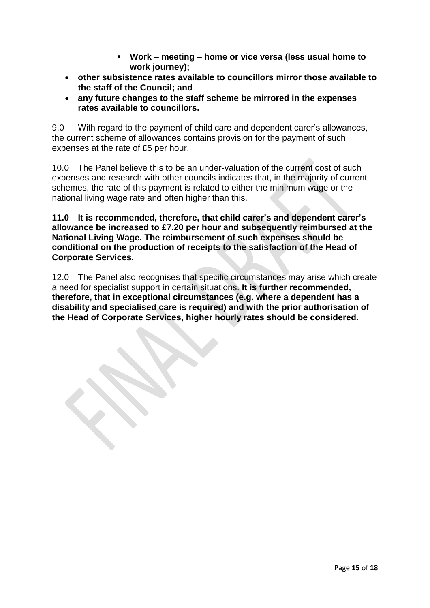- **Work – meeting – home or vice versa (less usual home to work journey);**
- **other subsistence rates available to councillors mirror those available to the staff of the Council; and**
- **any future changes to the staff scheme be mirrored in the expenses rates available to councillors.**

9.0 With regard to the payment of child care and dependent carer's allowances, the current scheme of allowances contains provision for the payment of such expenses at the rate of £5 per hour.

10.0 The Panel believe this to be an under-valuation of the current cost of such expenses and research with other councils indicates that, in the majority of current schemes, the rate of this payment is related to either the minimum wage or the national living wage rate and often higher than this.

**11.0 It is recommended, therefore, that child carer's and dependent carer's allowance be increased to £7.20 per hour and subsequently reimbursed at the National Living Wage. The reimbursement of such expenses should be conditional on the production of receipts to the satisfaction of the Head of Corporate Services.** 

12.0 The Panel also recognises that specific circumstances may arise which create a need for specialist support in certain situations. **It is further recommended, therefore, that in exceptional circumstances (e.g. where a dependent has a disability and specialised care is required) and with the prior authorisation of the Head of Corporate Services, higher hourly rates should be considered.**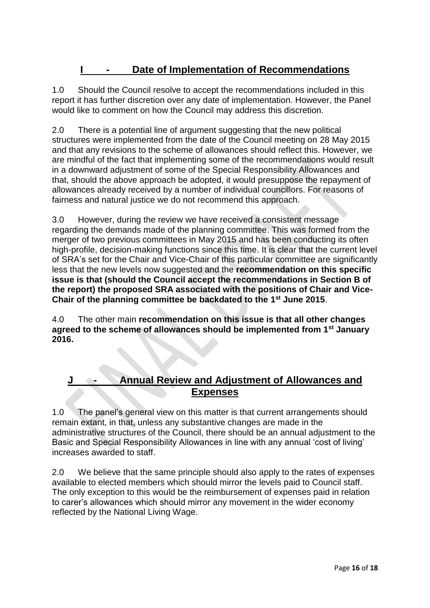# **I - Date of Implementation of Recommendations**

1.0 Should the Council resolve to accept the recommendations included in this report it has further discretion over any date of implementation. However, the Panel would like to comment on how the Council may address this discretion.

2.0 There is a potential line of argument suggesting that the new political structures were implemented from the date of the Council meeting on 28 May 2015 and that any revisions to the scheme of allowances should reflect this. However, we are mindful of the fact that implementing some of the recommendations would result in a downward adjustment of some of the Special Responsibility Allowances and that, should the above approach be adopted, it would presuppose the repayment of allowances already received by a number of individual councillors. For reasons of fairness and natural justice we do not recommend this approach.

3.0 However, during the review we have received a consistent message regarding the demands made of the planning committee. This was formed from the merger of two previous committees in May 2015 and has been conducting its often high-profile, decision-making functions since this time. It is clear that the current level of SRA's set for the Chair and Vice-Chair of this particular committee are significantly less that the new levels now suggested and the **recommendation on this specific issue is that (should the Council accept the recommendations in Section B of the report) the proposed SRA associated with the positions of Chair and Vice-Chair of the planning committee be backdated to the 1 st June 2015**.

4.0 The other main **recommendation on this issue is that all other changes agreed to the scheme of allowances should be implemented from 1st January 2016.** 

## **J - Annual Review and Adjustment of Allowances and Expenses**

1.0 The panel's general view on this matter is that current arrangements should remain extant, in that, unless any substantive changes are made in the administrative structures of the Council, there should be an annual adjustment to the Basic and Special Responsibility Allowances in line with any annual 'cost of living' increases awarded to staff.

2.0 We believe that the same principle should also apply to the rates of expenses available to elected members which should mirror the levels paid to Council staff. The only exception to this would be the reimbursement of expenses paid in relation to carer's allowances which should mirror any movement in the wider economy reflected by the National Living Wage.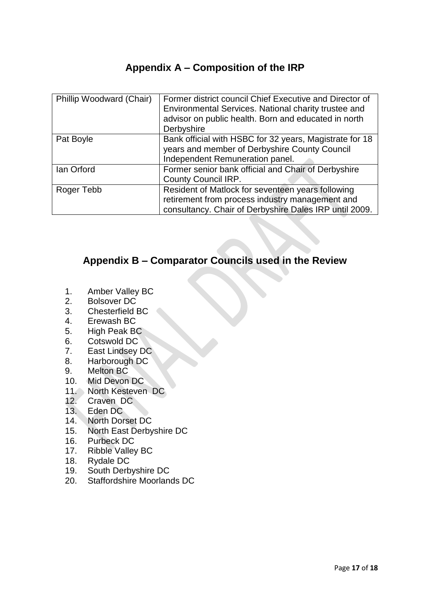# **Appendix A – Composition of the IRP**

| Phillip Woodward (Chair) | Former district council Chief Executive and Director of |
|--------------------------|---------------------------------------------------------|
|                          | Environmental Services. National charity trustee and    |
|                          | advisor on public health. Born and educated in north    |
|                          | Derbyshire                                              |
| Pat Boyle                | Bank official with HSBC for 32 years, Magistrate for 18 |
|                          | years and member of Derbyshire County Council           |
|                          | Independent Remuneration panel.                         |
| lan Orford               | Former senior bank official and Chair of Derbyshire     |
|                          | <b>County Council IRP.</b>                              |
| Roger Tebb               | Resident of Matlock for seventeen years following       |
|                          | retirement from process industry management and         |
|                          | consultancy. Chair of Derbyshire Dales IRP until 2009.  |

# **Appendix B – Comparator Councils used in the Review**

- 1. Amber Valley BC
- 2. Bolsover DC
- 3. Chesterfield BC
- 4. Erewash BC
- 5. High Peak BC
- 6. Cotswold DC
- 7. East Lindsey DC
- 8. Harborough DC
- 9. Melton BC
- 10. Mid Devon DC
- 11. North Kesteven DC
- 12. Craven DC
- 13. Eden DC
- 14. North Dorset DC
- 15. North East Derbyshire DC
- 16. Purbeck DC
- 17. Ribble Valley BC
- 18. Rydale DC
- 19. South Derbyshire DC
- 20. Staffordshire Moorlands DC